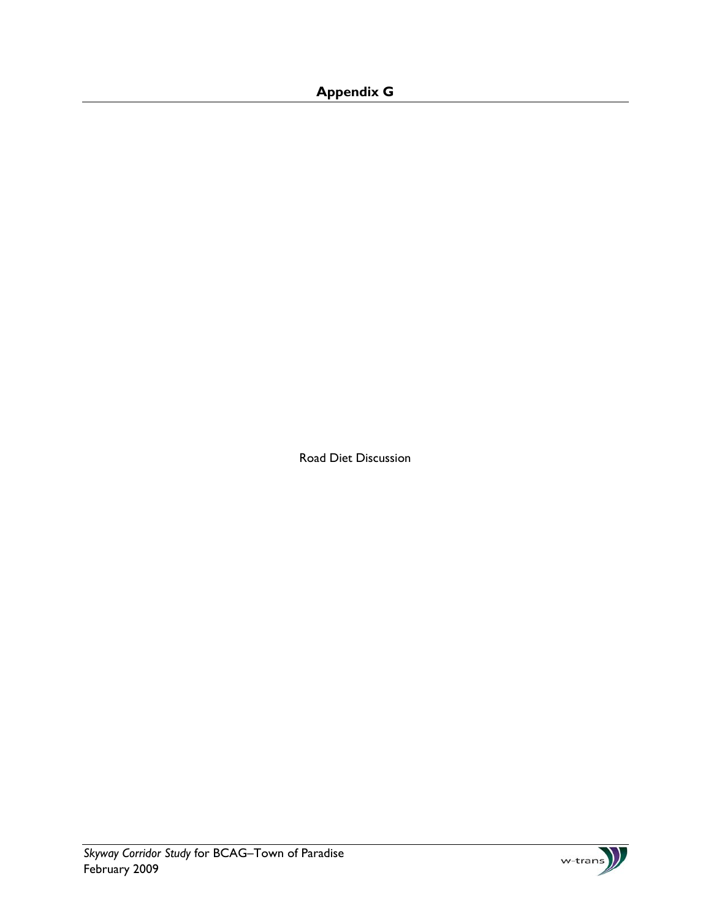## **Appendix G**

Road Diet Discussion